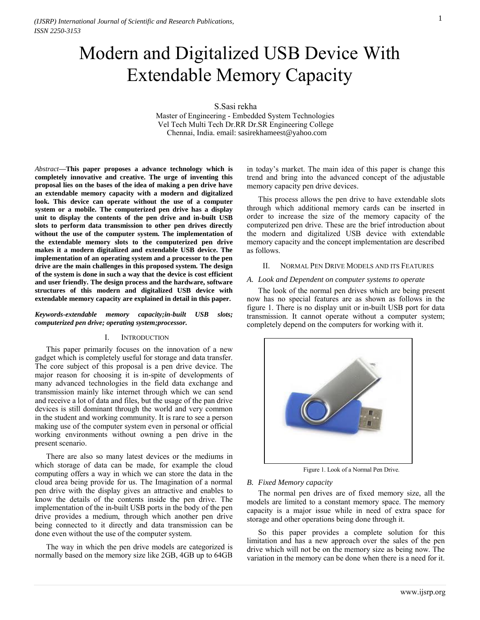# Modern and Digitalized USB Device With Extendable Memory Capacity

S.Sasi rekha

Master of Engineering - Embedded System Technologies Vel Tech Multi Tech Dr.RR Dr.SR Engineering College Chennai, India. email: sasirekhameest@yahoo.com

*Abstract***—This paper proposes a advance technology which is completely innovative and creative. The urge of inventing this proposal lies on the bases of the idea of making a pen drive have an extendable memory capacity with a modern and digitalized look. This device can operate without the use of a computer system or a mobile. The computerized pen drive has a display unit to display the contents of the pen drive and in-built USB slots to perform data transmission to other pen drives directly without the use of the computer system. The implementation of the extendable memory slots to the computerized pen drive makes it a modern digitalized and extendable USB device. The implementation of an operating system and a processor to the pen drive are the main challenges in this proposed system. The design of the system is done in such a way that the device is cost efficient and user friendly. The design process and the hardware, software structures of this modern and digitalized USB device with extendable memory capacity are explained in detail in this paper.** 

*Keywords-extendable memory capacity;in-built USB slots; computerized pen drive; operating system;processor.* 

## I. INTRODUCTION

This paper primarily focuses on the innovation of a new gadget which is completely useful for storage and data transfer. The core subject of this proposal is a pen drive device. The major reason for choosing it is in-spite of developments of many advanced technologies in the field data exchange and transmission mainly like internet through which we can send and receive a lot of data and files, but the usage of the pan drive devices is still dominant through the world and very common in the student and working community. It is rare to see a person making use of the computer system even in personal or official working environments without owning a pen drive in the present scenario.

There are also so many latest devices or the mediums in which storage of data can be made, for example the cloud computing offers a way in which we can store the data in the cloud area being provide for us. The Imagination of a normal pen drive with the display gives an attractive and enables to know the details of the contents inside the pen drive. The implementation of the in-built USB ports in the body of the pen drive provides a medium, through which another pen drive being connected to it directly and data transmission can be done even without the use of the computer system.

The way in which the pen drive models are categorized is normally based on the memory size like 2GB, 4GB up to 64GB

in today's market. The main idea of this paper is change this trend and bring into the advanced concept of the adjustable memory capacity pen drive devices.

This process allows the pen drive to have extendable slots through which additional memory cards can be inserted in order to increase the size of the memory capacity of the computerized pen drive. These are the brief introduction about the modern and digitalized USB device with extendable memory capacity and the concept implementation are described as follows.

#### II. NORMAL PEN DRIVE MODELS AND ITS FEATURES

#### *A. Look and Dependent on computer systems to operate*

The look of the normal pen drives which are being present now has no special features are as shown as follows in the figure 1. There is no display unit or in-built USB port for data transmission. It cannot operate without a computer system; completely depend on the computers for working with it.



Figure 1. Look of a Normal Pen Drive.

#### *B. Fixed Memory capacity*

The normal pen drives are of fixed memory size, all the models are limited to a constant memory space. The memory capacity is a major issue while in need of extra space for storage and other operations being done through it.

So this paper provides a complete solution for this limitation and has a new approach over the sales of the pen drive which will not be on the memory size as being now. The variation in the memory can be done when there is a need for it.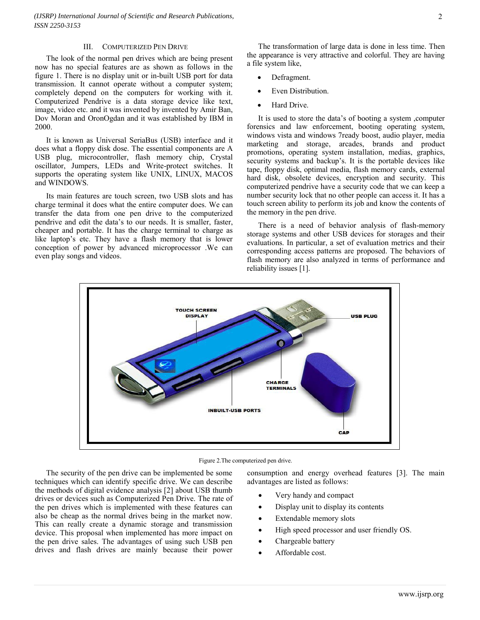*(IJSRP) International Journal of Scientific and Research Publications, ISSN 2250-3153*

#### III. COMPUTERIZED PEN DRIVE

The look of the normal pen drives which are being present now has no special features are as shown as follows in the figure 1. There is no display unit or in-built USB port for data transmission. It cannot operate without a computer system; completely depend on the computers for working with it. Computerized Pendrive is a data storage device like text, image, video etc. and it was invented by invented by Amir Ban, Dov Moran and OronOgdan and it was established by IBM in 2000.

It is known as Universal SeriaBus (USB) interface and it does what a floppy disk dose. The essential components are A USB plug, microcontroller, flash memory chip, Crystal oscillator, Jumpers, LEDs and Write-protect switches. It supports the operating system like UNIX, LINUX, MACOS and WINDOWS.

Its main features are touch screen, two USB slots and has charge terminal it does what the entire computer does. We can transfer the data from one pen drive to the computerized pendrive and edit the data's to our needs. It is smaller, faster, cheaper and portable. It has the charge terminal to charge as like laptop's etc. They have a flash memory that is lower conception of power by advanced microprocessor .We can even play songs and videos.

- Defragment.
- Even Distribution.
- Hard Drive.

It is used to store the data's of booting a system ,computer forensics and law enforcement, booting operating system, windows vista and windows 7ready boost, audio player, media marketing and storage, arcades, brands and product promotions, operating system installation, medias, graphics, security systems and backup's. It is the portable devices like tape, floppy disk, optimal media, flash memory cards, external hard disk, obsolete devices, encryption and security. This computerized pendrive have a security code that we can keep a number security lock that no other people can access it. It has a touch screen ability to perform its job and know the contents of the memory in the pen drive.

There is a need of behavior analysis of flash-memory storage systems and other USB devices for storages and their evaluations. In particular, a set of evaluation metrics and their corresponding access patterns are proposed. The behaviors of flash memory are also analyzed in terms of performance and reliability issues [1].





The security of the pen drive can be implemented be some techniques which can identify specific drive. We can describe the methods of digital evidence analysis [2] about USB thumb drives or devices such as Computerized Pen Drive. The rate of the pen drives which is implemented with these features can also be cheap as the normal drives being in the market now. This can really create a dynamic storage and transmission device. This proposal when implemented has more impact on the pen drive sales. The advantages of using such USB pen drives and flash drives are mainly because their power

consumption and energy overhead features [3]. The main advantages are listed as follows:

- Very handy and compact
- Display unit to display its contents
- Extendable memory slots
- High speed processor and user friendly OS.
- Chargeable battery
- Affordable cost.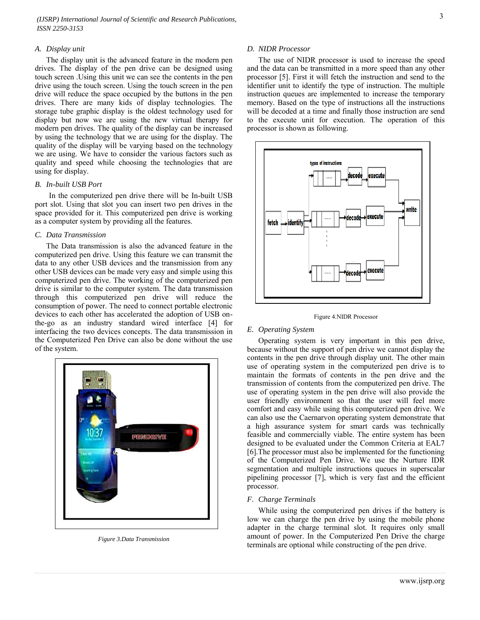*(IJSRP) International Journal of Scientific and Research Publications, ISSN 2250-3153*

#### *A. Display unit*

The display unit is the advanced feature in the modern pen drives. The display of the pen drive can be designed using touch screen .Using this unit we can see the contents in the pen drive using the touch screen. Using the touch screen in the pen drive will reduce the space occupied by the buttons in the pen drives. There are many kids of display technologies. The storage tube graphic display is the oldest technology used for display but now we are using the new virtual therapy for modern pen drives. The quality of the display can be increased by using the technology that we are using for the display. The quality of the display will be varying based on the technology we are using. We have to consider the various factors such as quality and speed while choosing the technologies that are using for display.

## *B. In-built USB Port*

In the computerized pen drive there will be In-built USB port slot. Using that slot you can insert two pen drives in the space provided for it. This computerized pen drive is working as a computer system by providing all the features.

#### *C. Data Transmission*

The Data transmission is also the advanced feature in the computerized pen drive. Using this feature we can transmit the data to any other USB devices and the transmission from any other USB devices can be made very easy and simple using this computerized pen drive. The working of the computerized pen drive is similar to the computer system. The data transmission through this computerized pen drive will reduce the consumption of power. The need to connect portable electronic devices to each other has accelerated the adoption of USB onthe-go as an industry standard wired interface [4] for interfacing the two devices concepts. The data transmission in the Computerized Pen Drive can also be done without the use of the system.



*Figure 3.Data Transmission*

#### *D. NIDR Processor*

The use of NIDR processor is used to increase the speed and the data can be transmitted in a more speed than any other processor [5]. First it will fetch the instruction and send to the identifier unit to identify the type of instruction. The multiple instruction queues are implemented to increase the temporary memory. Based on the type of instructions all the instructions will be decoded at a time and finally those instruction are send to the execute unit for execution. The operation of this processor is shown as following.



Figure 4.NIDR Processor

## *E. Operating System*

Operating system is very important in this pen drive, because without the support of pen drive we cannot display the contents in the pen drive through display unit. The other main use of operating system in the computerized pen drive is to maintain the formats of contents in the pen drive and the transmission of contents from the computerized pen drive. The use of operating system in the pen drive will also provide the user friendly environment so that the user will feel more comfort and easy while using this computerized pen drive. We can also use the Caernarvon operating system demonstrate that a high assurance system for smart cards was technically feasible and commercially viable. The entire system has been designed to be evaluated under the Common Criteria at EAL7 [6].The processor must also be implemented for the functioning of the Computerized Pen Drive. We use the Nurture IDR segmentation and multiple instructions queues in superscalar pipelining processor [7], which is very fast and the efficient processor.

## *F. Charge Terminals*

While using the computerized pen drives if the battery is low we can charge the pen drive by using the mobile phone adapter in the charge terminal slot. It requires only small amount of power. In the Computerized Pen Drive the charge terminals are optional while constructing of the pen drive.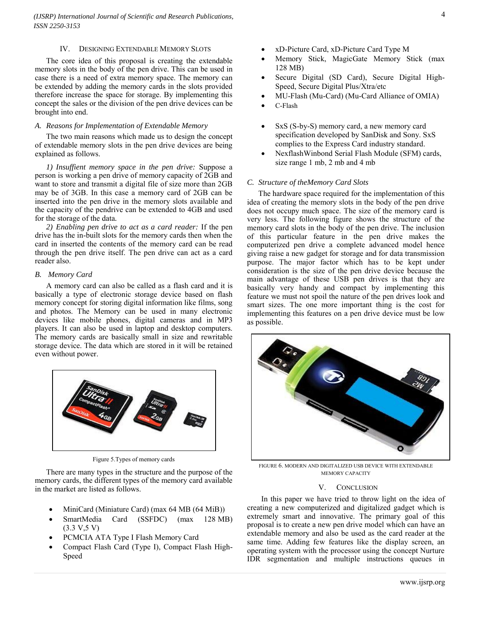#### IV. DESIGNING EXTENDABLE MEMORY SLOTS

The core idea of this proposal is creating the extendable memory slots in the body of the pen drive. This can be used in case there is a need of extra memory space. The memory can be extended by adding the memory cards in the slots provided therefore increase the space for storage. By implementing this concept the sales or the division of the pen drive devices can be brought into end.

## *A. Reasons for Implementation of Extendable Memory*

The two main reasons which made us to design the concept of extendable memory slots in the pen drive devices are being explained as follows.

*1) Insuffient memory space in the pen drive:* Suppose a person is working a pen drive of memory capacity of 2GB and want to store and transmit a digital file of size more than 2GB may be of 3GB. In this case a memory card of 2GB can be inserted into the pen drive in the memory slots available and the capacity of the pendrive can be extended to 4GB and used for the storage of the data*.* 

*2) Enabling pen drive to act as a card reader:* If the pen drive has the in-built slots for the memory cards then when the card in inserted the contents of the memory card can be read through the pen drive itself. The pen drive can act as a card reader also.

#### *B. Memory Card*

A memory card can also be called as a flash card and it is basically a type of electronic storage device based on flash memory concept for storing digital information like films, song and photos. The Memory can be used in many electronic devices like [mobile phones,](http://en.wikipedia.org/wiki/Mobile_phone) [digital cameras](http://en.wikipedia.org/wiki/Digital_camera) and in [MP3](http://en.wikipedia.org/wiki/Digital_audio_player)  [players.](http://en.wikipedia.org/wiki/Digital_audio_player) It can also be used in laptop and desktop computers. The memory cards are basically small in size and rewritable storage device. The data which are stored in it will be retained even without power.



Figure 5.Types of memory cards

There are many types in the structure and the purpose of the memory cards, the different types of the memory card available in the market are listed as follows.

- MiniCard [\(Miniature Card\)](http://en.wikipedia.org/wiki/Miniature_Card) (max 64 MB (64 [MiB\)](http://en.wikipedia.org/wiki/Mebibyte))
- SmartMedia Card (SSFDC) (max 128 MB)  $(3.3 V, 5 V)$
- PCMCIA ATA Type I Flash Memory Card
- Compact Flash Card (Type I), Compact Flash High-Speed
- Memory Stick, MagicGate Memory Stick (max 128 MB)
- Secure Digital (SD Card), Secure Digital High-Speed, Secure Digital Plus/Xtra/etc
- MU-Flash (Mu-Card) (Mu-Card Alliance of OMIA)
- C-Flash
- SxS (S-by-S) memory card, a new memory card specification developed by SanDisk and [Sony.](http://en.wikipedia.org/wiki/Sony) SxS complies to the Express Card industry standard.
- Nexflas[hWinbond](http://www.winbond-usa.com/en/component/option,com_staticxt/Itemid,553/xt_item,1/staticfile,Nexflash~press_011000.htm) Serial Flash Module (SFM) cards, size range 1 [mb,](http://en.wikipedia.org/w/index.php?title=Millibit%3F&action=edit&redlink=1) 2 mb and 4 mb

## *C. Structure of theMemory Card Slots*

The hardware space required for the implementation of this idea of creating the memory slots in the body of the pen drive does not occupy much space. The size of the memory card is very less. The following figure shows the structure of the memory card slots in the body of the pen drive. The inclusion of this particular feature in the pen drive makes the computerized pen drive a complete advanced model hence giving raise a new gadget for storage and for data transmission purpose. The major factor which has to be kept under consideration is the size of the pen drive device because the main advantage of these USB pen drives is that they are basically very handy and compact by implementing this feature we must not spoil the nature of the pen drives look and smart sizes. The one more important thing is the cost for implementing this features on a pen drive device must be low as possible.



FIGURE 6. MODERN AND DIGITALIZED USB DEVICE WITH EXTENDABLE MEMORY CAPACITY

#### V. CONCLUSION

In this paper we have tried to throw light on the idea of creating a new computerized and digitalized gadget which is extremely smart and innovative. The primary goal of this proposal is to create a new pen drive model which can have an extendable memory and also be used as the card reader at the same time. Adding few features like the display screen, an operating system with the processor using the concept Nurture IDR segmentation and multiple instructions queues in